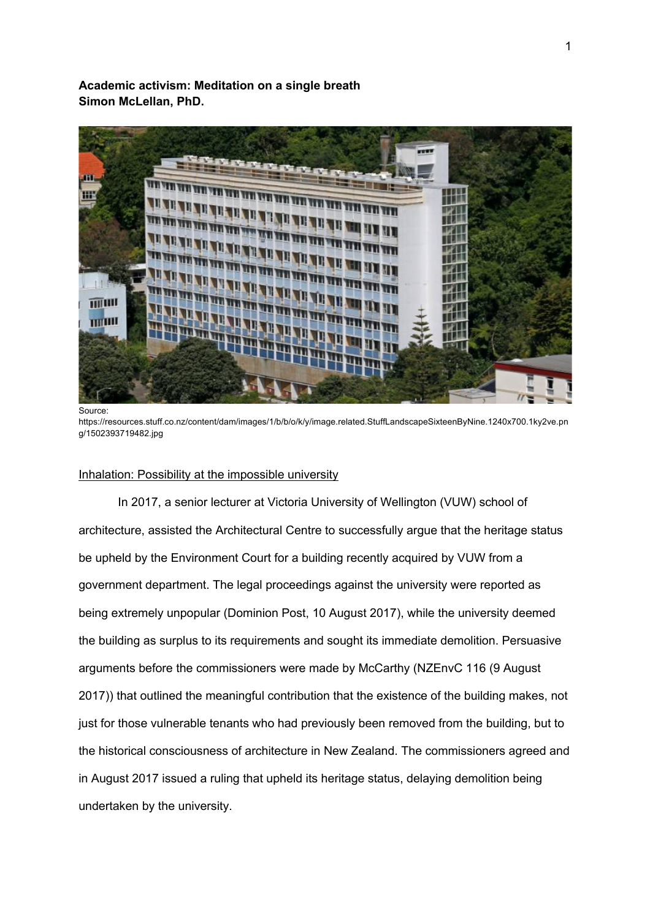**Academic activism: Meditation on a single breath Simon McLellan, PhD.** 



https://resources.stuff.co.nz/content/dam/images/1/b/b/o/k/y/image.related.StuffLandscapeSixteenByNine.1240x700.1ky2ve.pn g/1502393719482.jpg

### Inhalation: Possibility at the impossible university

In 2017, a senior lecturer at Victoria University of Wellington (VUW) school of architecture, assisted the Architectural Centre to successfully argue that the heritage status be upheld by the Environment Court for a building recently acquired by VUW from a government department. The legal proceedings against the university were reported as being extremely unpopular (Dominion Post, 10 August 2017), while the university deemed the building as surplus to its requirements and sought its immediate demolition. Persuasive arguments before the commissioners were made by McCarthy (NZEnvC 116 (9 August 2017)) that outlined the meaningful contribution that the existence of the building makes, not just for those vulnerable tenants who had previously been removed from the building, but to the historical consciousness of architecture in New Zealand. The commissioners agreed and in August 2017 issued a ruling that upheld its heritage status, delaying demolition being undertaken by the university.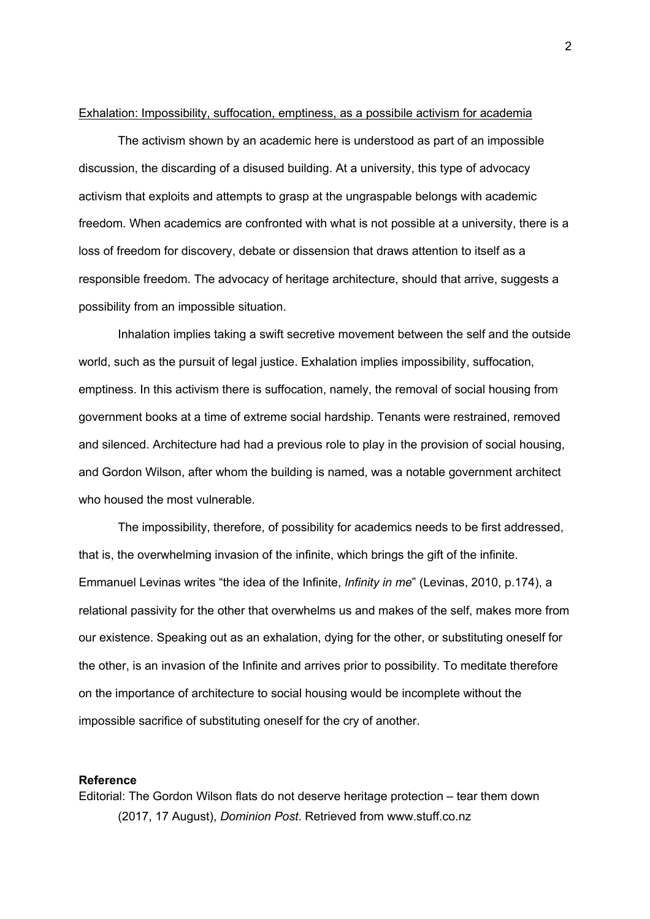### Exhalation: Impossibility, suffocation, emptiness, as a possibile activism for academia

The activism shown by an academic here is understood as part of an impossible discussion, the discarding of a disused building. At a university, this type of advocacy activism that exploits and attempts to grasp at the ungraspable belongs with academic freedom. When academics are confronted with what is not possible at a university, there is a loss of freedom for discovery, debate or dissension that draws attention to itself as a responsible freedom. The advocacy of heritage architecture, should that arrive, suggests a possibility from an impossible situation.

Inhalation implies taking a swift secretive movement between the self and the outside world, such as the pursuit of legal justice. Exhalation implies impossibility, suffocation, emptiness. In this activism there is suffocation, namely, the removal of social housing from government books at a time of extreme social hardship. Tenants were restrained, removed and silenced. Architecture had had a previous role to play in the provision of social housing, and Gordon Wilson, after whom the building is named, was a notable government architect who housed the most vulnerable.

The impossibility, therefore, of possibility for academics needs to be first addressed, that is, the overwhelming invasion of the infinite, which brings the gift of the infinite. Emmanuel Levinas writes "the idea of the Infinite, *Infinity in me*" (Levinas, 2010, p.174), a relational passivity for the other that overwhelms us and makes of the self, makes more from our existence. Speaking out as an exhalation, dying for the other, or substituting oneself for the other, is an invasion of the Infinite and arrives prior to possibility. To meditate therefore on the importance of architecture to social housing would be incomplete without the impossible sacrifice of substituting oneself for the cry of another.

#### **Reference**

Editorial: The Gordon Wilson flats do not deserve heritage protection – tear them down (2017, 17 August), *Dominion Post*. Retrieved from www.stuff.co.nz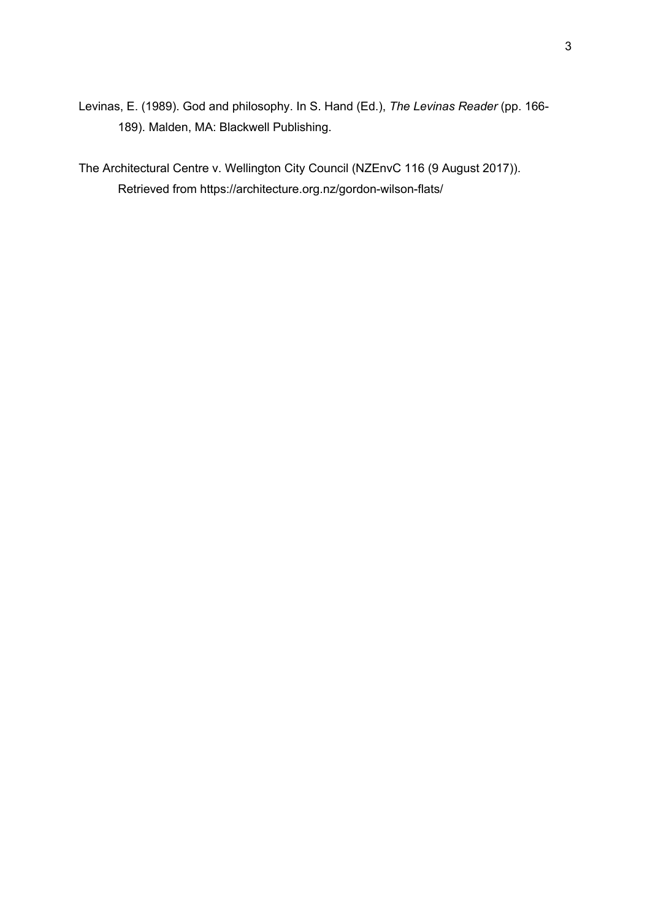Levinas, E. (1989). God and philosophy. In S. Hand (Ed.), *The Levinas Reader* (pp. 166- 189). Malden, MA: Blackwell Publishing.

The Architectural Centre v. Wellington City Council (NZEnvC 116 (9 August 2017)). Retrieved from https://architecture.org.nz/gordon-wilson-flats/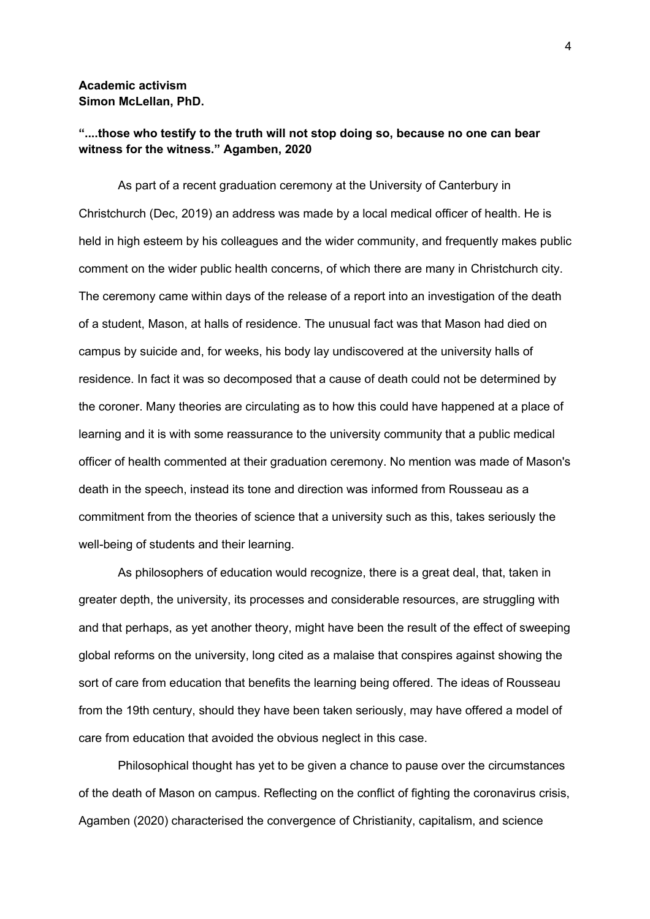# **Academic activism Simon McLellan, PhD.**

# **"....those who testify to the truth will not stop doing so, because no one can bear witness for the witness." Agamben, 2020**

As part of a recent graduation ceremony at the University of Canterbury in Christchurch (Dec, 2019) an address was made by a local medical officer of health. He is held in high esteem by his colleagues and the wider community, and frequently makes public comment on the wider public health concerns, of which there are many in Christchurch city. The ceremony came within days of the release of a report into an investigation of the death of a student, Mason, at halls of residence. The unusual fact was that Mason had died on campus by suicide and, for weeks, his body lay undiscovered at the university halls of residence. In fact it was so decomposed that a cause of death could not be determined by the coroner. Many theories are circulating as to how this could have happened at a place of learning and it is with some reassurance to the university community that a public medical officer of health commented at their graduation ceremony. No mention was made of Mason's death in the speech, instead its tone and direction was informed from Rousseau as a commitment from the theories of science that a university such as this, takes seriously the well-being of students and their learning.

As philosophers of education would recognize, there is a great deal, that, taken in greater depth, the university, its processes and considerable resources, are struggling with and that perhaps, as yet another theory, might have been the result of the effect of sweeping global reforms on the university, long cited as a malaise that conspires against showing the sort of care from education that benefits the learning being offered. The ideas of Rousseau from the 19th century, should they have been taken seriously, may have offered a model of care from education that avoided the obvious neglect in this case.

Philosophical thought has yet to be given a chance to pause over the circumstances of the death of Mason on campus. Reflecting on the conflict of fighting the coronavirus crisis, Agamben (2020) characterised the convergence of Christianity, capitalism, and science